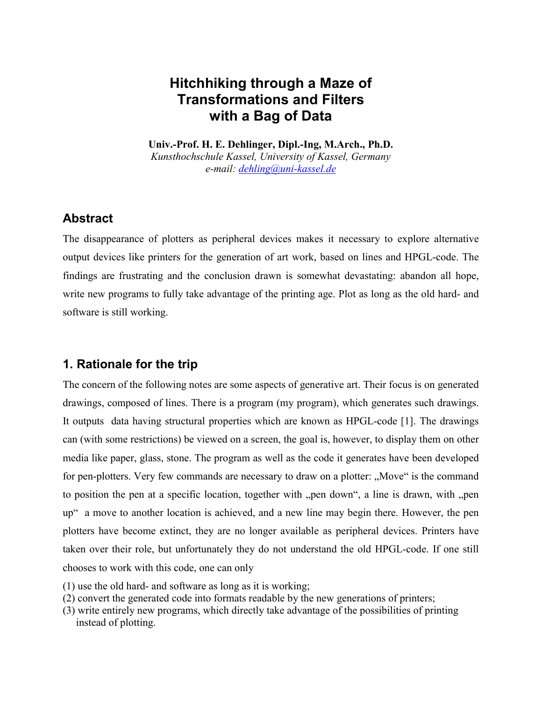## **Hitchhiking through a Maze of Transformations and Filters with a Bag of Data**

**Univ.-Prof. H. E. Dehlinger, Dipl.-Ing, M.Arch., Ph.D.** *Kunsthochschule Kassel, University of Kassel, Germany e-mail: dehling@uni-kassel.de*

### **Abstract**

The disappearance of plotters as peripheral devices makes it necessary to explore alternative output devices like printers for the generation of art work, based on lines and HPGL-code. The findings are frustrating and the conclusion drawn is somewhat devastating: abandon all hope, write new programs to fully take advantage of the printing age. Plot as long as the old hard- and software is still working.

## **1. Rationale for the trip**

The concern of the following notes are some aspects of generative art. Their focus is on generated drawings, composed of lines. There is a program (my program), which generates such drawings. It outputs data having structural properties which are known as HPGL-code [1]. The drawings can (with some restrictions) be viewed on a screen, the goal is, however, to display them on other media like paper, glass, stone. The program as well as the code it generates have been developed for pen-plotters. Very few commands are necessary to draw on a plotter: "Move" is the command to position the pen at a specific location, together with "pen down", a line is drawn, with "pen up" a move to another location is achieved, and a new line may begin there. However, the pen plotters have become extinct, they are no longer available as peripheral devices. Printers have taken over their role, but unfortunately they do not understand the old HPGL-code. If one still chooses to work with this code, one can only

- (1) use the old hard- and software as long as it is working;
- (2) convert the generated code into formats readable by the new generations of printers;
- (3) write entirely new programs, which directly take advantage of the possibilities of printing instead of plotting.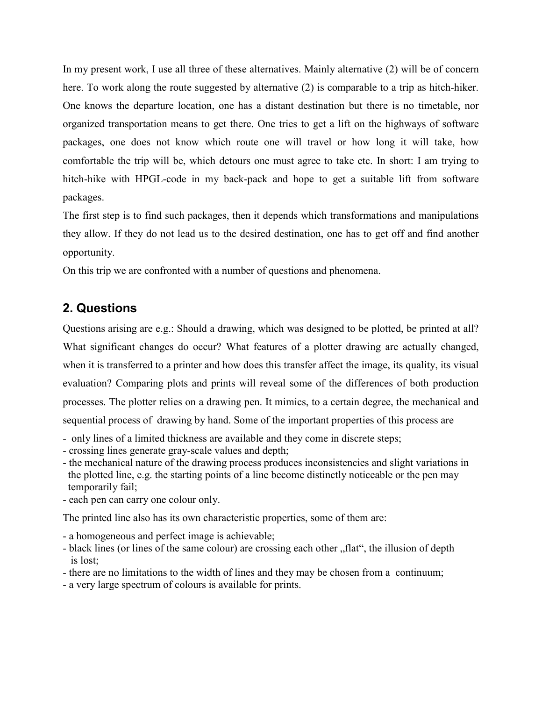In my present work, I use all three of these alternatives. Mainly alternative (2) will be of concern here. To work along the route suggested by alternative (2) is comparable to a trip as hitch-hiker. One knows the departure location, one has a distant destination but there is no timetable, nor organized transportation means to get there. One tries to get a lift on the highways of software packages, one does not know which route one will travel or how long it will take, how comfortable the trip will be, which detours one must agree to take etc. In short: I am trying to hitch-hike with HPGL-code in my back-pack and hope to get a suitable lift from software packages.

The first step is to find such packages, then it depends which transformations and manipulations they allow. If they do not lead us to the desired destination, one has to get off and find another opportunity.

On this trip we are confronted with a number of questions and phenomena.

## **2. Questions**

Questions arising are e.g.: Should a drawing, which was designed to be plotted, be printed at all? What significant changes do occur? What features of a plotter drawing are actually changed, when it is transferred to a printer and how does this transfer affect the image, its quality, its visual evaluation? Comparing plots and prints will reveal some of the differences of both production processes. The plotter relies on a drawing pen. It mimics, to a certain degree, the mechanical and sequential process of drawing by hand. Some of the important properties of this process are

- only lines of a limited thickness are available and they come in discrete steps;
- crossing lines generate gray-scale values and depth;
- the mechanical nature of the drawing process produces inconsistencies and slight variations in the plotted line, e.g. the starting points of a line become distinctly noticeable or the pen may temporarily fail;
- each pen can carry one colour only.

The printed line also has its own characteristic properties, some of them are:

- a homogeneous and perfect image is achievable;
- black lines (or lines of the same colour) are crossing each other "flat", the illusion of depth is lost;
- there are no limitations to the width of lines and they may be chosen from a continuum;
- a very large spectrum of colours is available for prints.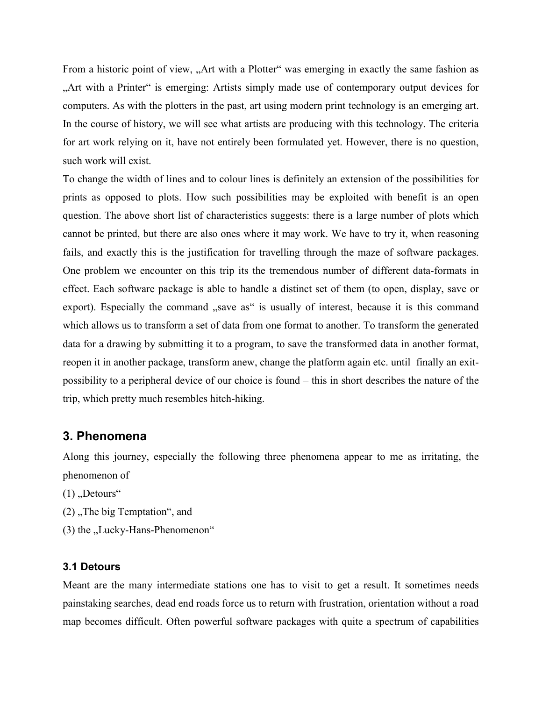From a historic point of view, "Art with a Plotter" was emerging in exactly the same fashion as "Art with a Printer" is emerging: Artists simply made use of contemporary output devices for computers. As with the plotters in the past, art using modern print technology is an emerging art. In the course of history, we will see what artists are producing with this technology. The criteria for art work relying on it, have not entirely been formulated yet. However, there is no question, such work will exist.

To change the width of lines and to colour lines is definitely an extension of the possibilities for prints as opposed to plots. How such possibilities may be exploited with benefit is an open question. The above short list of characteristics suggests: there is a large number of plots which cannot be printed, but there are also ones where it may work. We have to try it, when reasoning fails, and exactly this is the justification for travelling through the maze of software packages. One problem we encounter on this trip its the tremendous number of different data-formats in effect. Each software package is able to handle a distinct set of them (to open, display, save or export). Especially the command "save as" is usually of interest, because it is this command which allows us to transform a set of data from one format to another. To transform the generated data for a drawing by submitting it to a program, to save the transformed data in another format, reopen it in another package, transform anew, change the platform again etc. until finally an exitpossibility to a peripheral device of our choice is found – this in short describes the nature of the trip, which pretty much resembles hitch-hiking.

#### **3. Phenomena**

Along this journey, especially the following three phenomena appear to me as irritating, the phenomenon of

- $(1)$ . Detours"
- $(2)$ . The big Temptation", and
- $(3)$  the "Lucky-Hans-Phenomenon"

#### **3.1 Detours**

Meant are the many intermediate stations one has to visit to get a result. It sometimes needs painstaking searches, dead end roads force us to return with frustration, orientation without a road map becomes difficult. Often powerful software packages with quite a spectrum of capabilities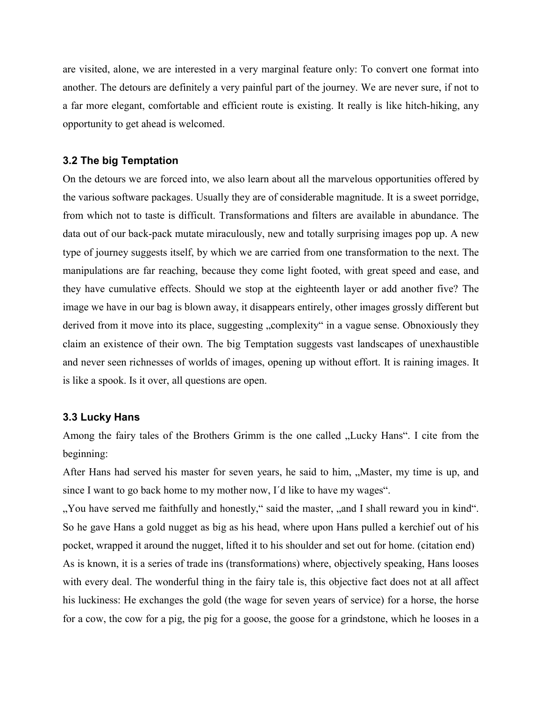are visited, alone, we are interested in a very marginal feature only: To convert one format into another. The detours are definitely a very painful part of the journey. We are never sure, if not to a far more elegant, comfortable and efficient route is existing. It really is like hitch-hiking, any opportunity to get ahead is welcomed.

#### **3.2 The big Temptation**

On the detours we are forced into, we also learn about all the marvelous opportunities offered by the various software packages. Usually they are of considerable magnitude. It is a sweet porridge, from which not to taste is difficult. Transformations and filters are available in abundance. The data out of our back-pack mutate miraculously, new and totally surprising images pop up. A new type of journey suggests itself, by which we are carried from one transformation to the next. The manipulations are far reaching, because they come light footed, with great speed and ease, and they have cumulative effects. Should we stop at the eighteenth layer or add another five? The image we have in our bag is blown away, it disappears entirely, other images grossly different but derived from it move into its place, suggesting "complexity" in a vague sense. Obnoxiously they claim an existence of their own. The big Temptation suggests vast landscapes of unexhaustible and never seen richnesses of worlds of images, opening up without effort. It is raining images. It is like a spook. Is it over, all questions are open.

#### **3.3 Lucky Hans**

Among the fairy tales of the Brothers Grimm is the one called "Lucky Hans". I cite from the beginning:

After Hans had served his master for seven years, he said to him, "Master, my time is up, and since I want to go back home to my mother now, I´d like to have my wages".

". You have served me faithfully and honestly," said the master, ", and I shall reward you in kind". So he gave Hans a gold nugget as big as his head, where upon Hans pulled a kerchief out of his pocket, wrapped it around the nugget, lifted it to his shoulder and set out for home. (citation end) As is known, it is a series of trade ins (transformations) where, objectively speaking, Hans looses with every deal. The wonderful thing in the fairy tale is, this objective fact does not at all affect his luckiness: He exchanges the gold (the wage for seven years of service) for a horse, the horse for a cow, the cow for a pig, the pig for a goose, the goose for a grindstone, which he looses in a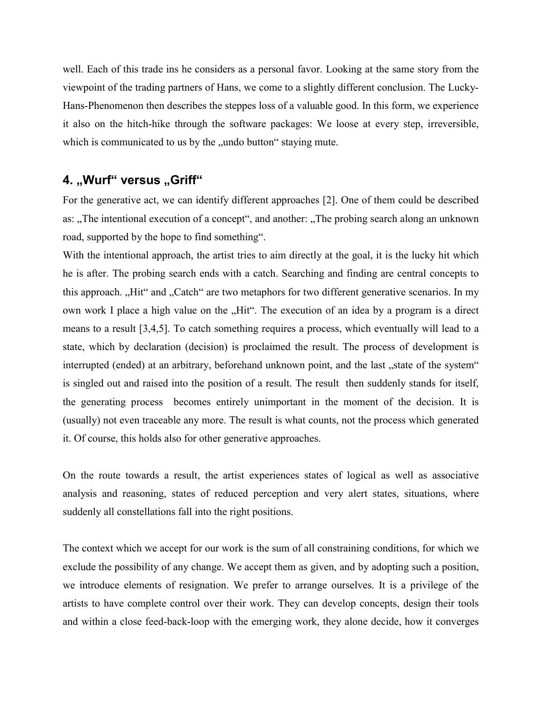well. Each of this trade ins he considers as a personal favor. Looking at the same story from the viewpoint of the trading partners of Hans, we come to a slightly different conclusion. The Lucky-Hans-Phenomenon then describes the steppes loss of a valuable good. In this form, we experience it also on the hitch-hike through the software packages: We loose at every step, irreversible, which is communicated to us by the "undo button" staying mute.

# 4. "Wurf" versus "Griff"

For the generative act, we can identify different approaches [2]. One of them could be described as: "The intentional execution of a concept", and another: "The probing search along an unknown road, supported by the hope to find something".

With the intentional approach, the artist tries to aim directly at the goal, it is the lucky hit which he is after. The probing search ends with a catch. Searching and finding are central concepts to this approach. "Hit" and "Catch" are two metaphors for two different generative scenarios. In my own work I place a high value on the "Hit". The execution of an idea by a program is a direct means to a result [3,4,5]. To catch something requires a process, which eventually will lead to a state, which by declaration (decision) is proclaimed the result. The process of development is interrupted (ended) at an arbitrary, beforehand unknown point, and the last, state of the system" is singled out and raised into the position of a result. The result then suddenly stands for itself, the generating process becomes entirely unimportant in the moment of the decision. It is (usually) not even traceable any more. The result is what counts, not the process which generated it. Of course, this holds also for other generative approaches.

On the route towards a result, the artist experiences states of logical as well as associative analysis and reasoning, states of reduced perception and very alert states, situations, where suddenly all constellations fall into the right positions.

The context which we accept for our work is the sum of all constraining conditions, for which we exclude the possibility of any change. We accept them as given, and by adopting such a position, we introduce elements of resignation. We prefer to arrange ourselves. It is a privilege of the artists to have complete control over their work. They can develop concepts, design their tools and within a close feed-back-loop with the emerging work, they alone decide, how it converges